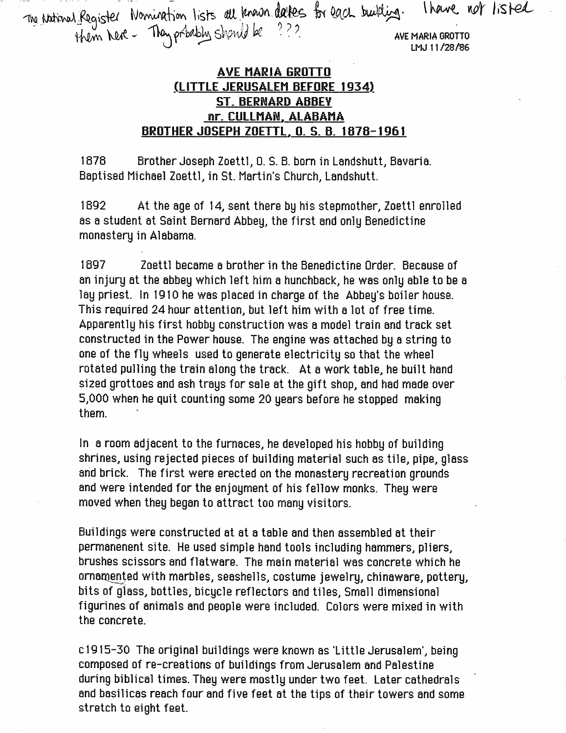for each building. I have not listed Hem Next - They pridely Shanid be  $\sim$  . Ave Maria grotto  $\sim$  ave Maria grotto

## **AVE MARIA GROTTO** <u>(LITTLE JERUSALEM BEFORE 1934)</u> ST. BERNARD ABBEY nr. CULLMAN, ALABAMA <u>BROTHER JOSEPH ZOETTL, O. S. B. 1878-1961</u>

1878 Brother Joseph Zoettl, 0. S. B. bom in Landshutt, Bavaria. Baptised Michael Zoettl, in St. Martin's Church, Landshutt.

1892 At the age of 14, sent there by his stepmother, Zoettl enrolled as a student at Saint Bernard Abbey, the first and only Benedictine monastery in Alabama.

1897 Zoettl became a brother in the Benedictine Order. Because of an injury at the abbey which left him a hunchback, he was only able to be a lay priest. In 1910 he was placed in charge of the Abbey's boiler house. This required 24 hour attention, but left him with a lot of free time. Apparently his first hobby construction was a model train and track set constructed in the Power house. The engine was attached by a string to one of the fly wheels used to generate electricity so that the wheel rotated pulling the train along the track. At a work table, he built hand sized grottoes and ash trays for sale at the gift shop, and had made over 5,000 when he quit counting some 20 years before he stopped making them.

In a room adjacent to the furnaces, he developed his hobby of building shrines, using rejected pieces of building material such as tile, pipe, glass and brick. The first were erected on the monastery recreation grounds and were intended for the enjoyment of his fellow monks. They were moved when they began to attract too many visitors.

Buildings were constructed at at a table and then assembled at their permanenent site. He used simple hand tools including hammers, pliers, brushes scissors and flatware. The main material was concrete which he ornamented with marbles, seashells, costume jewelry, chinaware, pottery, bits of glass, bottles, bicycle reflectors and tiles. Small dimensional figurines of animals and people were included. Colors were mixed in with the concrete.

cl915-30 The original buildings were known as 'Little Jerusalem', being composed of re-creations of buildings from Jerusalem and Palestine during biblical times. They were mostly under two feet. Later cathedrals and basilicas reach four and five feet at the tips of their towers and some stretch to eight feet.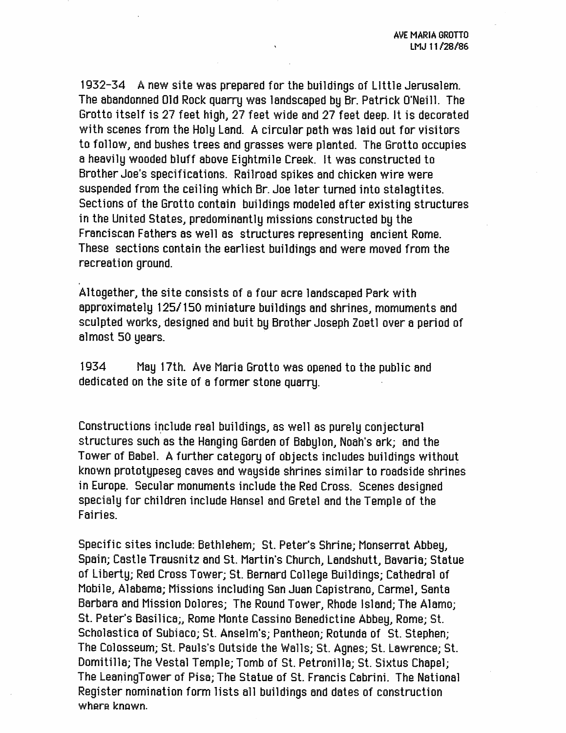1932-34 A new site was prepared for the buildings of Little Jerusalem. The abandonned Old Rock quarry was landscaped by Br Patrick O'Neill. The Grotto itself is 27 feet high, 27 feet wide and 27 feet deep, it is decorated with scenes from the Holy Land. A circular path was laid out for visitors to follow, and bushes trees and grasses were planted. The Grotto occupies a heavily wooded bluff above Eightmile Creek. It was constructed to Brother Joe's specifications. Railroad spikes and chicken wire were suspended from the ceiling which Br Joe later turned into stalagtites. Sections of the Grotto contain buildings modeled after existing structures in the United States, predominantly missions constructed by the Franciscan Fathers as well as structures representing ancient Rome. These sections contain the earliest buildings and were moved from the recreation ground.

Altogether, the site consists of a four acre landscaped Park with approximately 125/150 miniature buildings and shrines, momuments and sculpted works, designed and buit by Brother Joseph Zoetl over a period of almost 50 years.

1934 May 17th. Ave Maria Grotto was opened to the public and dedicated on the site of a former stone quarry.

Constructions include real buildings, as well as purely conjectural structures such as the Hanging Garden of Babylon, Noah's ark; and the Tower of Babel. A further category of objects includes buildings without known prototypeseg caves and wayside shrines similar to roadside shrines in Europe. Secular monuments include the Red Cross. Scenes designed specialy for children include Hansel and Gretel and the Temple of the Fairies.

Specific sites include: Bethlehem; St. Peter's Shrine; Monserrat Abbey, Spain; Castle Trausnitz and St. Martin's Church, Landshutt, Bavaria; Statue of Liberty; Red Cross Tower; St. Bernard College Buildings; Cathedral of Mobile, Alabama; Missions Including San Juan Capistrano, Carmel, Santa Barbara and Mission Dolores; The Round Tower, Rhode Island; The Alamo; St. Peter's Basilica;, Rome Monte Cassino Benedictine Abbey, Rome; St. Scholastica of Subiaco; St. Anselm's; Pantheon; Rotunda of St. Stephen; The Colosseum; St. Pauls's Outside the Walls; St. Agnes; St. Lawrence; St. Domitilla; The Vestal Temple; Tomb of St. Petronilla; St. Sixtus Chapel; The LeaningTower of Pisa; The Statue of St. Francis Cabrini. The National Register nomination form lists all buildings and dates of construction where known.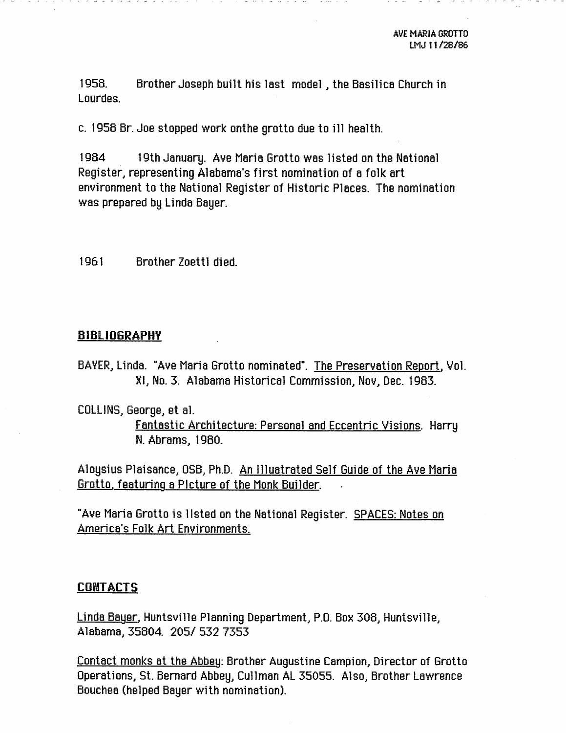1958. Brother Joseph built his last model, the Basilica Church in Lourdes.

c. 1958 Br. Joe stopped work onthe grotto due to ill health.

1984 19th January. Ave Maria Grotto was listed on the National Register, representing Alabama's first nomination of a folk art environment to the National Register of Historic Places. The nomination was prepared by Linda Bayer.

1961 Brother Zoettl died.

## BIBLi06RAPHV

- BAVER, Linda. "Ave Maria Grotto nominated". The Preservation Report. Vol. Kl, No. 3. Alabama Historical Commission, Nov, Dec. 1983.
- COLLINS, George, et al. Fantastic Architecture: Personal and Eccentric Visions. Harry N. Abrams, 1980.

Aloysius Plaisance, OSB, Ph.D. An llluatrated Self Guide of the Ave Maria Grotto, featuring a Picture of the Monk Builder.

"Ave Maria Grotto is listed on the National Register. SPACES: Notes on America's Folk Art Environments.

## CONTACTS

Linda Bayer. Huntsville Planning Department, P.O. Box 308, Huntsville, Alabama, 35804. 205/ 532 7353

Contact monks at the Abbey: Brother Augustine Campion, Director of Grotto Operations, St. Bernard Abbey, Cullman AL 35055. Also, Brother Lawrence Bouchea (helped Bayer with nomination).